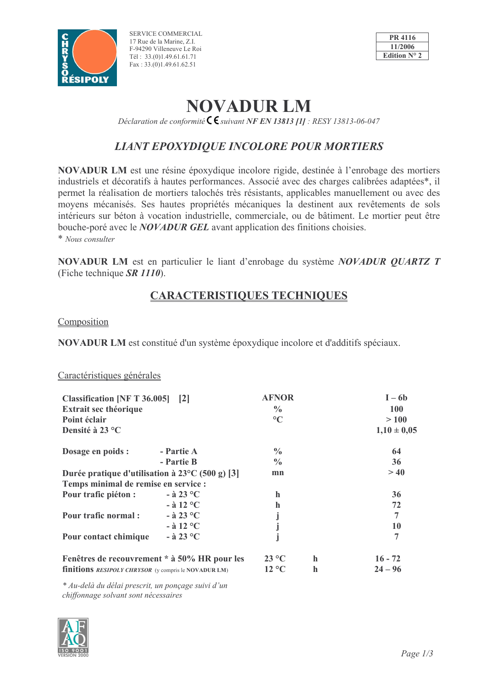

SERVICE COMMERCIAL 17 Rue de la Marine, Z.I. F-94290 Villeneuve Le Roi Tél: 33.(0)1.49.61.61.71 Fax:  $33.(0)1.49.61.62.51$ 



# **NOVADUR LM**

Déclaration de conformité  $C \epsilon$  suivant NF EN 13813 [1]: RESY 13813-06-047

# **LIANT EPOXYDIQUE INCOLORE POUR MORTIERS**

NOVADUR LM est une résine époxydique incolore rigide, destinée à l'enrobage des mortiers industriels et décoratifs à hautes performances. Associé avec des charges calibrées adaptées\*, il permet la réalisation de mortiers talochés très résistants, applicables manuellement ou avec des moyens mécanisés. Ses hautes propriétés mécaniques la destinent aux revêtements de sols intérieurs sur béton à vocation industrielle, commerciale, ou de bâtiment. Le mortier peut être bouche-poré avec le *NOVADUR GEL* avant application des finitions choisies. \* Nous consulter

NOVADUR LM est en particulier le liant d'enrobage du système NOVADUR QUARTZ T (Fiche technique  $SR$  1110).

# **CARACTERISTIQUES TECHNIQUES**

#### Composition

NOVADUR LM est constitué d'un système époxydique incolore et d'additifs spéciaux.

#### Caractéristiques générales

| <b>Classification [NF T 36.005]</b>                         | $\lceil 2 \rceil$ | <b>AFNOR</b>    |             | $I - 6b$        |
|-------------------------------------------------------------|-------------------|-----------------|-------------|-----------------|
| Extrait sec théorique                                       |                   | $\frac{6}{9}$   |             | <b>100</b>      |
| Point éclair                                                |                   | $\rm ^{\circ}C$ |             | >100            |
| Densité à 23 °C                                             |                   |                 |             | $1,10 \pm 0,05$ |
| Dosage en poids :                                           | - Partie A        | $\frac{6}{9}$   |             | 64              |
|                                                             | - Partie B        | $\frac{0}{0}$   |             | 36              |
| Durée pratique d'utilisation à $23^{\circ}$ C (500 g) [3]   |                   | mn              |             | >40             |
| Temps minimal de remise en service :                        |                   |                 |             |                 |
| Pour trafic piéton :                                        | - à 23 °C         | h               |             | 36              |
|                                                             | $-$ à 12 °C       | $\mathbf h$     |             | 72              |
| Pour trafic normal:                                         | $-$ à 23 °C       |                 |             | 7               |
|                                                             | $-$ à 12 °C       |                 |             | 10              |
| Pour contact chimique                                       | $-$ à 23 °C       |                 |             | 7               |
| Fenêtres de recouvrement * à 50% HR pour les                |                   | $23^{\circ}$ C  | $\mathbf h$ | $16 - 72$       |
| <b>finitions</b> RESIPOLY CHRYSOR (y compris le NOVADUR LM) |                   | $12 \text{ °C}$ | $\mathbf h$ | $24 - 96$       |

\* Au-delà du délai prescrit, un ponçage suivi d'un chiffonnage solvant sont nécessaires

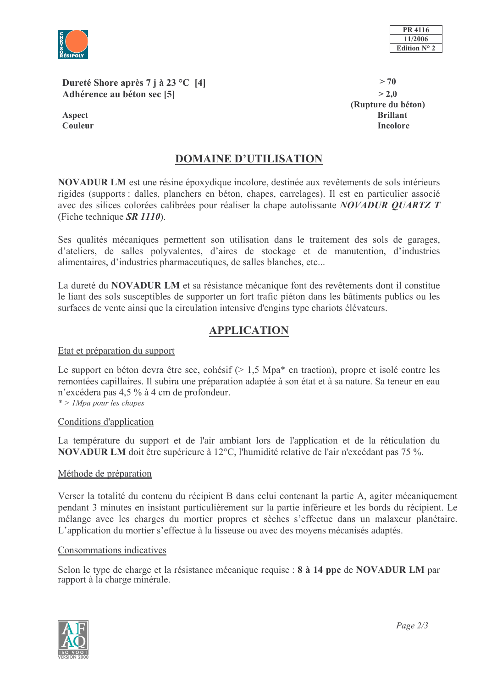



Dureté Shore après 7 j à 23 °C [4] Adhérence au béton sec [5]

Aspect Couleur

 $> 70$  $> 2.0$ (Rupture du béton) **Brillant Incolore** 

## **DOMAINE D'UTILISATION**

**NOVADUR LM** est une résine époxydique incolore, destinée aux revêtements de sols intérieurs rigides (supports : dalles, planchers en béton, chapes, carrelages). Il est en particulier associé avec des silices colorées calibrées pour réaliser la chape autolissante NOVADUR OUARTZ T (Fiche technique  $SR$  1110).

Ses qualités mécaniques permettent son utilisation dans le traitement des sols de garages, d'ateliers, de salles polyvalentes, d'aires de stockage et de manutention, d'industries alimentaires, d'industries pharmaceutiques, de salles blanches, etc...

La dureté du NOVADUR LM et sa résistance mécanique font des revêtements dont il constitue le liant des sols susceptibles de supporter un fort trafic piéton dans les bâtiments publics ou les surfaces de vente ainsi que la circulation intensive d'engins type chariots élévateurs.

# **APPLICATION**

#### Etat et préparation du support

Le support en béton devra être sec, cohésif ( $> 1.5$  Mpa\* en traction), propre et isolé contre les remontées capillaires. Il subira une préparation adaptée à son état et à sa nature. Sa teneur en eau n'excédera pas 4,5 % à 4 cm de profondeur.

 $*$  > 1Mpa pour les chapes

#### Conditions d'application

La température du support et de l'air ambiant lors de l'application et de la réticulation du **NOVADUR LM** doit être supérieure à 12 °C. l'humidité relative de l'air n'excédant pas 75 %.

#### Méthode de préparation

Verser la totalité du contenu du récipient B dans celui contenant la partie A, agiter mécaniquement pendant 3 minutes en insistant particulièrement sur la partie inférieure et les bords du récipient. Le mélange avec les charges du mortier propres et sèches s'effectue dans un malaxeur planétaire. L'application du mortier s'effectue à la lisseuse ou avec des moyens mécanisés adaptés.

#### Consommations indicatives

Selon le type de charge et la résistance mécanique requise : 8 à 14 ppc de NOVADUR LM par rapport à la charge minérale.